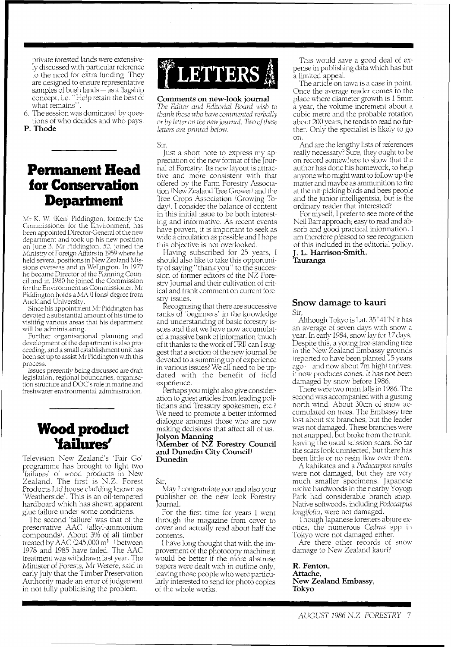private forested lands were extensively discussed with particular reference to the need for extra funding. They are designed to ensure representative<br>samples of bush lands — as a flagship concept, i.e. "Help retain the best of what remains".

6. The session was dominated by questions of who decides and who pays.

P. **Thode** 

# **Permanent Head for Conservation Department**

Mr K. W, (Ken) Piddington, formerly the Commissioner for the Environment, has<br>been appointed Director-General of the new department and took up his new position on June 3. Mr Piddington, 52, joined the Ministry of Foreign Affairs in 1959 where he held several positions in New Zealand Missions overseas and in Wellington. In 1977 he became Director of the Planning Council and in 1980 he joined the Commission for the Environment as Commissioner. Mr Piddington holds a MA (Hons) degree from Auckland University.

Since his appointment Mr Piddington has devoted a substantial amount of his time to visiting various areas that his department will be administering.

Further organisational planning and development of the department is also proceeding, and a small establishment unit has been set up to assist Mr Piddington with this process.

Issues presently being discussed are draft legislation, regional boundaries, organisation structure and DOC'S role in marine and freshwater environmental administration.

## **Wood product 'failures'**

Television New Zealand's 'Fair Go' programme has brought to light two 'failures' of wood products in New Zealand. The first is N.Z. Forest Products Ltd house cladding known as 'Weatherside'. This is an oil-tempered hardboard which has shown apparent glue failure under some conditions.

The second 'failure' was that of the preservative AAC (alkyl-ammonium compounds). About 3% of all timber treated by AAC (245,000  $\mathrm{m}^3$  ) between 1978 and 1985 have failed. The AAC treatment was withdrawn last year. The Minister of Forests, Mr Wetere, said in early July that the Timber Preservation Authority made an error of judgement in not fully publicising the problem.

# **\*LETTERS 鱻**

**Comments on new-look journal** 

The Editor and Editorial Board wish to *thank those who have commented verbally or by letter on the new journal. Two ojthese letters are printed below.* 

Sir,

Just a short note to express my appreciation of the new format of the Journal of Forestry. Its new layout is attractive and more consistent with that offered by the Farm Forestry Association (New Zealand Tree Grower) and the Tree Crops Association (Growing Today). I consider the balance of content in this initial issue to be both interesting and informative. As recent events have proven, it is important to seek as wide a circulation as possible and I hope this objective is not overlooked.

Having subscribed for 25 years, I should also like to take this opportunity of saying "thank you" to the succession of former editors of the NZ Forestry Journal and their cultivation of critical and frank comment on current forestry issues.

Recognising that there are successive ranks of 'beginners' in the knowledge and understanding of basic forestry issues and that we have now accumulated a massive bank of information (much of it thanks to the work of FRI) can I suggest that a section of the new journal be devoted to a summing up of experience in various issues? We all need to be updated with the benefit of field experience.

Perhaps you might also give consideration to guest articles from leading politicians and Treasury spokesmen, etc.? \Ye need to promote a better informed dialogue amongst those who are now making decisions that affect all of us. **Jolyon Manning** 

**(Member of NZ Forestry Council and Dunedin City Council) Dunedin** 

Sir,

May I congratulate you and also your publisher on the new look Forestry Journal.

For the first time for years I went through the magazine from cover to cover and actually read about half the contents.

I have long thought that with the improvement of the photocopy machine it would be better if the more abstruse papers were dealt with in outline only, leaving those people who were particularly interested to send for photo copies of the whole works.

This would save a good deal of expense in publishing data which has but a limited appeal.

The article on tawa is a case in point. Once the average reader comes to the place where diameter growth is 1.5mm a year, the volume increment about a cubic metre and the probable rotation about 200 years, he tends to read no further. Only the specialist is likely to go on.

And are the lengthy lists of references really necessary? Sure, they ought to be on record somewhere to show that the author has done his homework, to help anyone who might want to follow up the matter and maybe as ammunition to fire at the nit-picking birds and bees people and the junior intelligentsia, but is the ordinary reader that interested?

For myself. I prefer to see more of the Neil Barr approach; easy to read and absorb and good practical information. I am therefore pleased to see recognition of this included in the editorial policy.

**J.** L. **Harrison-Smith, Tauranga** 

#### **Snow damage** to **kauri**  Sir,

Although Tokyo is Lat. 35°41'N it has an average of seven days with snow a year. In early 1984, snow lay for 17 days. Despite this, a young free-standing tree in the New Zealand Embassy grounds m the Frem Datura and note of 15 years<br>
reported to have been planted 15 years<br>
ago – and now about 7m high) thrives; it now produces cones. It has not been damaged by snow before 1986.

There were two main falls in 1986. The second was accompanied with a gusting north wind. About 30cm of snow accumulated on trees. The Embassy tree lost about six branches, but the leader was not damaged. These branches were not snapped, but broke from the trunk, leaving the usual scission scars. So far the scars look uninfected, but there has been little or no resin flow over them.

A kahikatea and a *Podocarpus nivalis*  were not damaged, but they are very much smaller specimens. Japanese native hardwoods in the nearby Yoyogi Park had considerable branch snap. Native softwoods, including *Podocapus Longijolia,* were not damaged.

Though Japanese foresters abjure exotics, the numerous *Cedrus* spp in Tokyo were not damaged either.

Are there other records of snow damage to New Zealand kauri?

**R. Fenton, Attache, New Zealand Embassy, Tokyo**  external<br>enton,<br>che,<br>Zealand Embassy<br>o<br>GUST 1986 N.Z. F